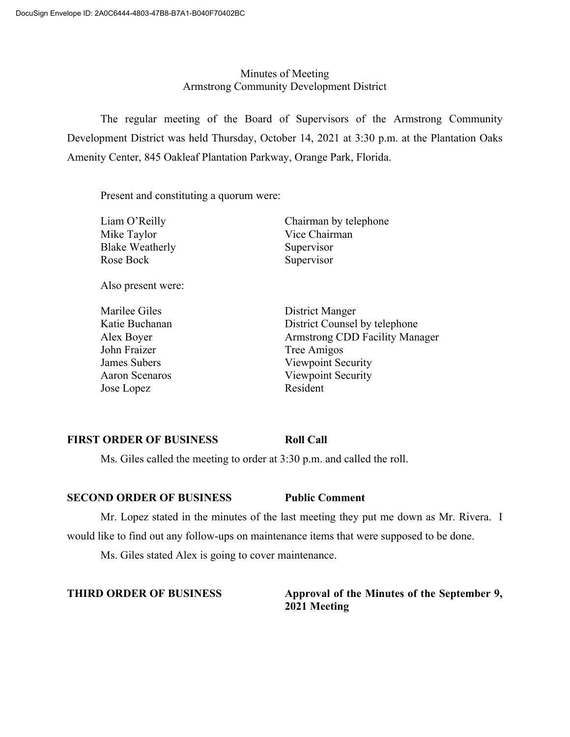# Minutes of Meeting Armstrong Community Development District

The regular meeting of the Board of Supervisors of the Armstrong Community Development District was held Thursday, October 14, 2021 at 3:30 p.m. at the Plantation Oaks Amenity Center, 845 Oakleaf Plantation Parkway, Orange Park, Florida.

Present and constituting a quorum were:

| Liam O'Reilly          | Chairman by telephone                 |
|------------------------|---------------------------------------|
| Mike Taylor            | Vice Chairman                         |
| <b>Blake Weatherly</b> | Supervisor                            |
| Rose Bock              | Supervisor                            |
| Also present were:     |                                       |
| Marilee Giles          | District Manger                       |
| Katie Buchanan         | District Counsel by telephone         |
| Alex Boyer             | <b>Armstrong CDD Facility Manager</b> |
| John Fraizer           | Tree Amigos                           |
| James Subers           | Viewpoint Security                    |
| <b>Aaron Scenaros</b>  | Viewpoint Security                    |
| Jose Lopez             | Resident                              |
|                        |                                       |

# **FIRST ORDER OF BUSINESS Roll Call**

Ms. Giles called the meeting to order at 3:30 p.m. and called the roll.

## **SECOND ORDER OF BUSINESS Public Comment**

Mr. Lopez stated in the minutes of the last meeting they put me down as Mr. Rivera. I would like to find out any follow-ups on maintenance items that were supposed to be done.

Ms. Giles stated Alex is going to cover maintenance.

# **THIRD ORDER OF BUSINESS Approval of the Minutes of the September 9, 2021 Meeting**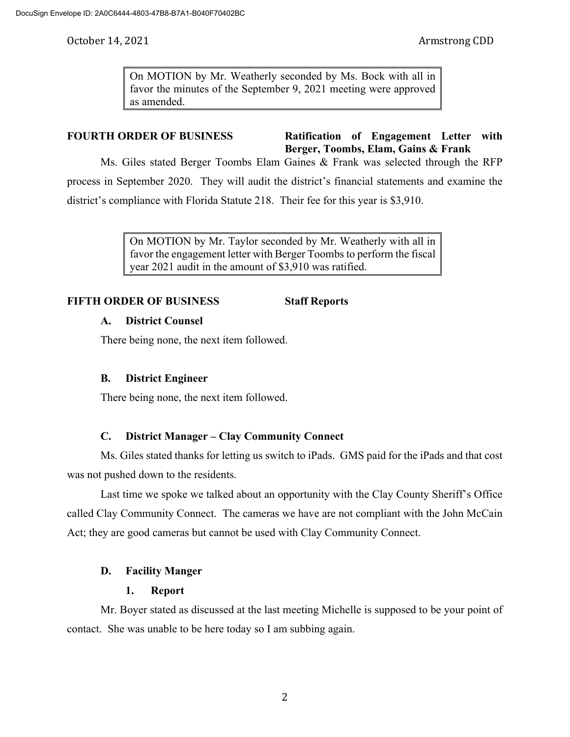On MOTION by Mr. Weatherly seconded by Ms. Bock with all in favor the minutes of the September 9, 2021 meeting were approved as amended.

**FOURTH ORDER OF BUSINESS Ratification of Engagement Letter with Berger, Toombs, Elam, Gains & Frank**

Ms. Giles stated Berger Toombs Elam Gaines & Frank was selected through the RFP process in September 2020. They will audit the district's financial statements and examine the district's compliance with Florida Statute 218. Their fee for this year is \$3,910.

> On MOTION by Mr. Taylor seconded by Mr. Weatherly with all in favor the engagement letter with Berger Toombs to perform the fiscal year 2021 audit in the amount of \$3,910 was ratified.

# **FIFTH ORDER OF BUSINESS Staff Reports**

## **A. District Counsel**

There being none, the next item followed.

## **B. District Engineer**

There being none, the next item followed.

# **C. District Manager – Clay Community Connect**

Ms. Giles stated thanks for letting us switch to iPads. GMS paid for the iPads and that cost was not pushed down to the residents.

Last time we spoke we talked about an opportunity with the Clay County Sheriff's Office called Clay Community Connect. The cameras we have are not compliant with the John McCain Act; they are good cameras but cannot be used with Clay Community Connect.

## **D. Facility Manger**

# **1. Report**

Mr. Boyer stated as discussed at the last meeting Michelle is supposed to be your point of contact. She was unable to be here today so I am subbing again.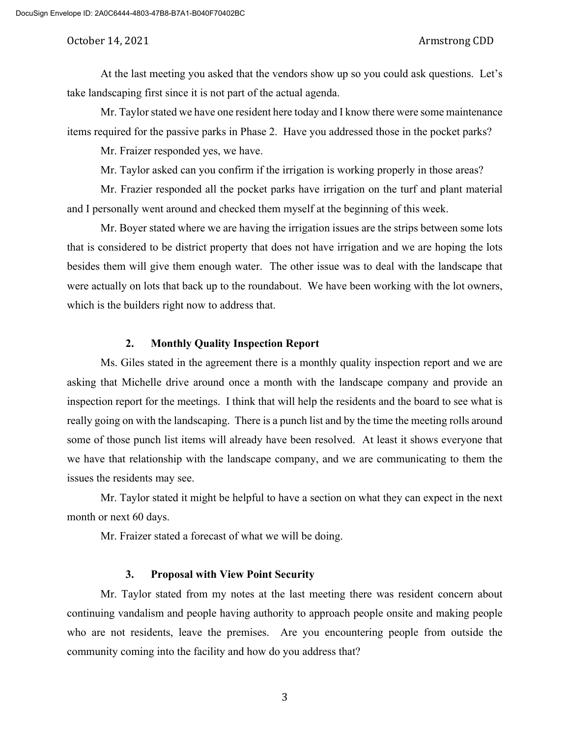At the last meeting you asked that the vendors show up so you could ask questions. Let's take landscaping first since it is not part of the actual agenda.

Mr. Taylor stated we have one resident here today and I know there were some maintenance items required for the passive parks in Phase 2. Have you addressed those in the pocket parks?

Mr. Fraizer responded yes, we have.

Mr. Taylor asked can you confirm if the irrigation is working properly in those areas?

Mr. Frazier responded all the pocket parks have irrigation on the turf and plant material and I personally went around and checked them myself at the beginning of this week.

Mr. Boyer stated where we are having the irrigation issues are the strips between some lots that is considered to be district property that does not have irrigation and we are hoping the lots besides them will give them enough water. The other issue was to deal with the landscape that were actually on lots that back up to the roundabout. We have been working with the lot owners, which is the builders right now to address that.

## **2. Monthly Quality Inspection Report**

Ms. Giles stated in the agreement there is a monthly quality inspection report and we are asking that Michelle drive around once a month with the landscape company and provide an inspection report for the meetings. I think that will help the residents and the board to see what is really going on with the landscaping. There is a punch list and by the time the meeting rolls around some of those punch list items will already have been resolved. At least it shows everyone that we have that relationship with the landscape company, and we are communicating to them the issues the residents may see.

Mr. Taylor stated it might be helpful to have a section on what they can expect in the next month or next 60 days.

Mr. Fraizer stated a forecast of what we will be doing.

## **3. Proposal with View Point Security**

Mr. Taylor stated from my notes at the last meeting there was resident concern about continuing vandalism and people having authority to approach people onsite and making people who are not residents, leave the premises. Are you encountering people from outside the community coming into the facility and how do you address that?

3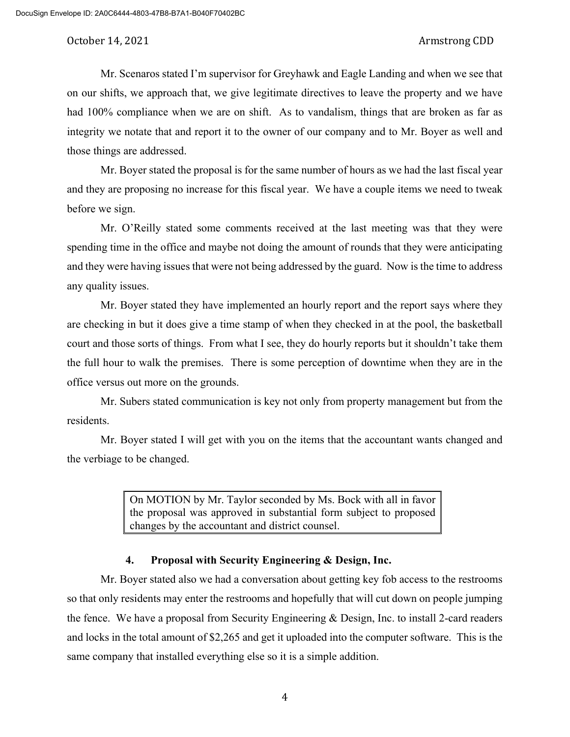Mr. Scenaros stated I'm supervisor for Greyhawk and Eagle Landing and when we see that on our shifts, we approach that, we give legitimate directives to leave the property and we have had 100% compliance when we are on shift. As to vandalism, things that are broken as far as integrity we notate that and report it to the owner of our company and to Mr. Boyer as well and those things are addressed.

Mr. Boyer stated the proposal is for the same number of hours as we had the last fiscal year and they are proposing no increase for this fiscal year. We have a couple items we need to tweak before we sign.

Mr. O'Reilly stated some comments received at the last meeting was that they were spending time in the office and maybe not doing the amount of rounds that they were anticipating and they were having issues that were not being addressed by the guard. Now is the time to address any quality issues.

Mr. Boyer stated they have implemented an hourly report and the report says where they are checking in but it does give a time stamp of when they checked in at the pool, the basketball court and those sorts of things. From what I see, they do hourly reports but it shouldn't take them the full hour to walk the premises. There is some perception of downtime when they are in the office versus out more on the grounds.

Mr. Subers stated communication is key not only from property management but from the residents.

Mr. Boyer stated I will get with you on the items that the accountant wants changed and the verbiage to be changed.

> On MOTION by Mr. Taylor seconded by Ms. Bock with all in favor the proposal was approved in substantial form subject to proposed changes by the accountant and district counsel.

## **4. Proposal with Security Engineering & Design, Inc.**

Mr. Boyer stated also we had a conversation about getting key fob access to the restrooms so that only residents may enter the restrooms and hopefully that will cut down on people jumping the fence. We have a proposal from Security Engineering & Design, Inc. to install 2-card readers and locks in the total amount of \$2,265 and get it uploaded into the computer software. This is the same company that installed everything else so it is a simple addition.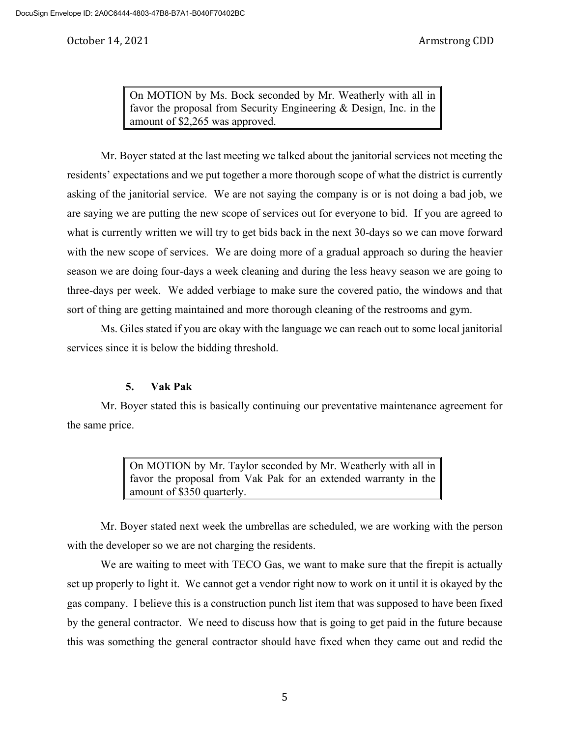On MOTION by Ms. Bock seconded by Mr. Weatherly with all in favor the proposal from Security Engineering & Design, Inc. in the amount of \$2,265 was approved.

Mr. Boyer stated at the last meeting we talked about the janitorial services not meeting the residents' expectations and we put together a more thorough scope of what the district is currently asking of the janitorial service. We are not saying the company is or is not doing a bad job, we are saying we are putting the new scope of services out for everyone to bid. If you are agreed to what is currently written we will try to get bids back in the next 30-days so we can move forward with the new scope of services. We are doing more of a gradual approach so during the heavier season we are doing four-days a week cleaning and during the less heavy season we are going to three-days per week. We added verbiage to make sure the covered patio, the windows and that sort of thing are getting maintained and more thorough cleaning of the restrooms and gym.

Ms. Giles stated if you are okay with the language we can reach out to some local janitorial services since it is below the bidding threshold.

## **5. Vak Pak**

Mr. Boyer stated this is basically continuing our preventative maintenance agreement for the same price.

> On MOTION by Mr. Taylor seconded by Mr. Weatherly with all in favor the proposal from Vak Pak for an extended warranty in the amount of \$350 quarterly.

Mr. Boyer stated next week the umbrellas are scheduled, we are working with the person with the developer so we are not charging the residents.

We are waiting to meet with TECO Gas, we want to make sure that the firepit is actually set up properly to light it. We cannot get a vendor right now to work on it until it is okayed by the gas company. I believe this is a construction punch list item that was supposed to have been fixed by the general contractor. We need to discuss how that is going to get paid in the future because this was something the general contractor should have fixed when they came out and redid the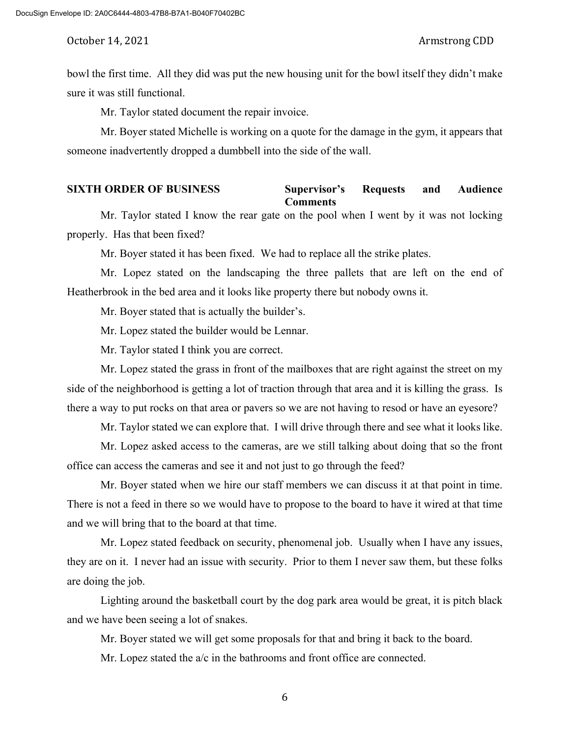bowl the first time. All they did was put the new housing unit for the bowl itself they didn't make sure it was still functional.

Mr. Taylor stated document the repair invoice.

Mr. Boyer stated Michelle is working on a quote for the damage in the gym, it appears that someone inadvertently dropped a dumbbell into the side of the wall.

### **SIXTH ORDER OF BUSINESS Supervisor's Requests and Audience Comments**

Mr. Taylor stated I know the rear gate on the pool when I went by it was not locking properly. Has that been fixed?

Mr. Boyer stated it has been fixed. We had to replace all the strike plates.

Mr. Lopez stated on the landscaping the three pallets that are left on the end of Heatherbrook in the bed area and it looks like property there but nobody owns it.

Mr. Boyer stated that is actually the builder's.

Mr. Lopez stated the builder would be Lennar.

Mr. Taylor stated I think you are correct.

Mr. Lopez stated the grass in front of the mailboxes that are right against the street on my side of the neighborhood is getting a lot of traction through that area and it is killing the grass. Is there a way to put rocks on that area or pavers so we are not having to resod or have an eyesore?

Mr. Taylor stated we can explore that. I will drive through there and see what it looks like.

Mr. Lopez asked access to the cameras, are we still talking about doing that so the front office can access the cameras and see it and not just to go through the feed?

Mr. Boyer stated when we hire our staff members we can discuss it at that point in time. There is not a feed in there so we would have to propose to the board to have it wired at that time and we will bring that to the board at that time.

Mr. Lopez stated feedback on security, phenomenal job. Usually when I have any issues, they are on it. I never had an issue with security. Prior to them I never saw them, but these folks are doing the job.

Lighting around the basketball court by the dog park area would be great, it is pitch black and we have been seeing a lot of snakes.

Mr. Boyer stated we will get some proposals for that and bring it back to the board.

Mr. Lopez stated the a/c in the bathrooms and front office are connected.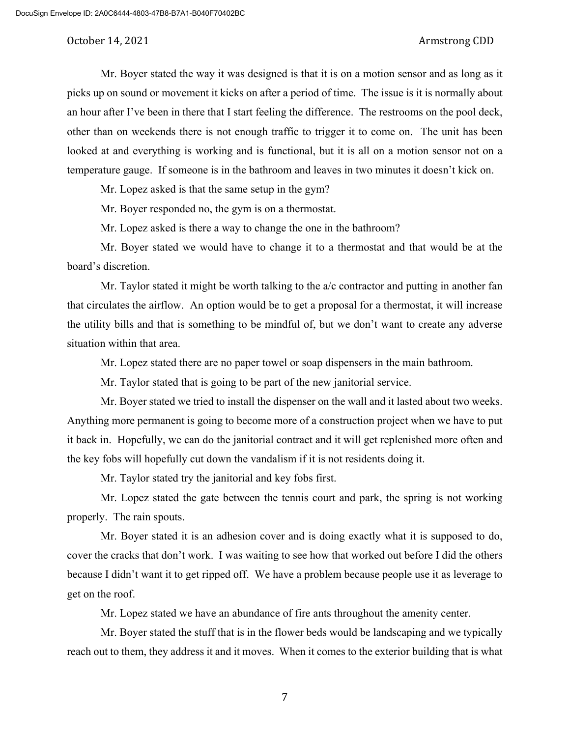Mr. Boyer stated the way it was designed is that it is on a motion sensor and as long as it picks up on sound or movement it kicks on after a period of time. The issue is it is normally about an hour after I've been in there that I start feeling the difference. The restrooms on the pool deck, other than on weekends there is not enough traffic to trigger it to come on. The unit has been looked at and everything is working and is functional, but it is all on a motion sensor not on a temperature gauge. If someone is in the bathroom and leaves in two minutes it doesn't kick on.

Mr. Lopez asked is that the same setup in the gym?

Mr. Boyer responded no, the gym is on a thermostat.

Mr. Lopez asked is there a way to change the one in the bathroom?

Mr. Boyer stated we would have to change it to a thermostat and that would be at the board's discretion.

Mr. Taylor stated it might be worth talking to the a/c contractor and putting in another fan that circulates the airflow. An option would be to get a proposal for a thermostat, it will increase the utility bills and that is something to be mindful of, but we don't want to create any adverse situation within that area.

Mr. Lopez stated there are no paper towel or soap dispensers in the main bathroom.

Mr. Taylor stated that is going to be part of the new janitorial service.

Mr. Boyer stated we tried to install the dispenser on the wall and it lasted about two weeks. Anything more permanent is going to become more of a construction project when we have to put it back in. Hopefully, we can do the janitorial contract and it will get replenished more often and the key fobs will hopefully cut down the vandalism if it is not residents doing it.

Mr. Taylor stated try the janitorial and key fobs first.

Mr. Lopez stated the gate between the tennis court and park, the spring is not working properly. The rain spouts.

Mr. Boyer stated it is an adhesion cover and is doing exactly what it is supposed to do, cover the cracks that don't work. I was waiting to see how that worked out before I did the others because I didn't want it to get ripped off. We have a problem because people use it as leverage to get on the roof.

Mr. Lopez stated we have an abundance of fire ants throughout the amenity center.

Mr. Boyer stated the stuff that is in the flower beds would be landscaping and we typically reach out to them, they address it and it moves. When it comes to the exterior building that is what